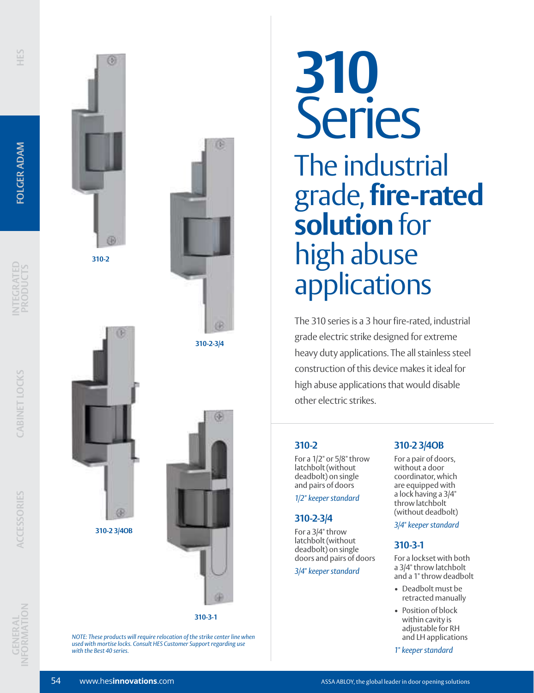





**310-2-3/4**



*NOTE: These products will require relocation of the strike center line when used with mortise locks. Consult HES Customer Support regarding use with the Best 40 series.*

# **310** Series The industrial grade, **fire-rated solution** for high abuse applications

The 310 series is a 3 hour fire-rated, industrial grade electric strike designed for extreme heavy duty applications. The all stainless steel construction of this device makes it ideal for high abuse applications that would disable other electric strikes.

# **310-2**

For a 1/2" or 5/8" throw latchbolt (without deadbolt) on single and pairs of doors

*1/2" keeper standard*

# **310-2-3/4**

For a 3/4" throw latchbolt (without deadbolt) on single doors and pairs of doors

*3/4" keeper standard*

# **310-2 3/4OB**

For a pair of doors, without a door coordinator, which are equipped with a lock having a 3/4" throw latchbolt (without deadbolt)

*3/4" keeper standard*

### **310-3-1**

For a lockset with both a 3/4" throw latchbolt and a 1" throw deadbolt

- Deadbolt must be retracted manually
- Position of block within cavity is adjustable for RH and LH applications

*1" keeper standard*

**310-2 3/4OB**

®